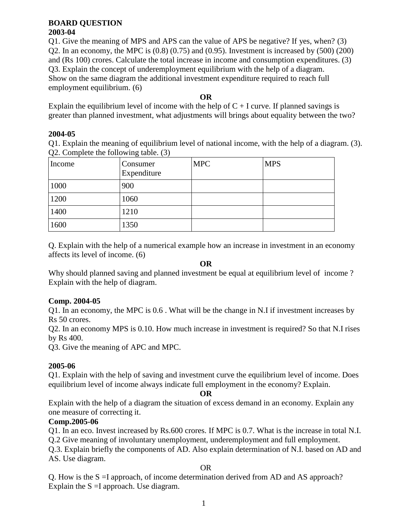#### **BOARD QUESTION 2003-04**

Q1. Give the meaning of MPS and APS can the value of APS be negative? If yes, when? (3) Q2. In an economy, the MPC is  $(0.8)$   $(0.75)$  and  $(0.95)$ . Investment is increased by  $(500)$   $(200)$ and (Rs 100) crores. Calculate the total increase in income and consumption expenditures. (3) Q3. Explain the concept of underemployment equilibrium with the help of a diagram. Show on the same diagram the additional investment expenditure required to reach full employment equilibrium. (6)

### **OR**

Explain the equilibrium level of income with the help of  $C + I$  curve. If planned savings is greater than planned investment, what adjustments will brings about equality between the two?

#### **2004-05**

Q1. Explain the meaning of equilibrium level of national income, with the help of a diagram. (3). Q2. Complete the following table. (3)

| Income | Consumer<br>Expenditure | <b>MPC</b> | <b>MPS</b> |
|--------|-------------------------|------------|------------|
| 1000   | 900                     |            |            |
| 1200   | 1060                    |            |            |
| 1400   | 1210                    |            |            |
| 1600   | 1350                    |            |            |

Q. Explain with the help of a numerical example how an increase in investment in an economy affects its level of income. (6)

#### **OR**

Why should planned saving and planned investment be equal at equilibrium level of income? Explain with the help of diagram.

## **Comp. 2004-05**

Q1. In an economy, the MPC is 0.6 . What will be the change in N.I if investment increases by Rs 50 crores.

Q2. In an economy MPS is 0.10. How much increase in investment is required? So that N.I rises by Rs 400.

Q3. Give the meaning of APC and MPC.

## **2005-06**

Q1. Explain with the help of saving and investment curve the equilibrium level of income. Does equilibrium level of income always indicate full employment in the economy? Explain.

#### **OR**

Explain with the help of a diagram the situation of excess demand in an economy. Explain any one measure of correcting it.

## **Comp.2005-06**

Q1. In an eco. Invest increased by Rs.600 crores. If MPC is 0.7. What is the increase in total N.I.

Q.2 Give meaning of involuntary unemployment, underemployment and full employment.

Q.3. Explain briefly the components of AD. Also explain determination of N.I. based on AD and AS. Use diagram.

#### OR

Q. How is the S =I approach, of income determination derived from AD and AS approach? Explain the  $S = I$  approach. Use diagram.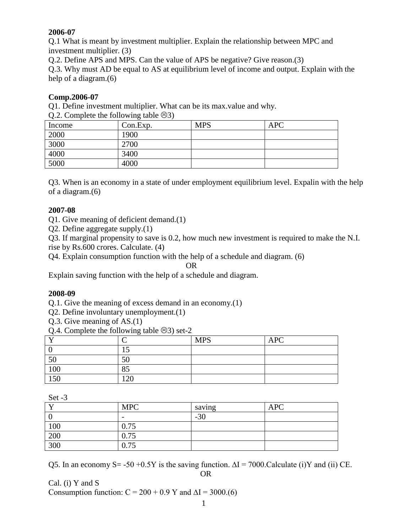# **2006-07**

Q.1 What is meant by investment multiplier. Explain the relationship between MPC and investment multiplier. (3)

Q.2. Define APS and MPS. Can the value of APS be negative? Give reason.(3)

Q.3. Why must AD be equal to AS at equilibrium level of income and output. Explain with the help of a diagram.(6)

## **Comp.2006-07**

Q1. Define investment multiplier. What can be its max.value and why.

 $Q.2$ . Complete the following table  $\odot$ 3)

| $\sim$ | $\overline{\phantom{0}}$ |            |            |
|--------|--------------------------|------------|------------|
| Income | Con.Exp.                 | <b>MPS</b> | <b>APC</b> |
| 2000   | 1900                     |            |            |
| 3000   | 2700                     |            |            |
| 4000   | 3400                     |            |            |
| 5000   | 4000                     |            |            |

Q3. When is an economy in a state of under employment equilibrium level. Expalin with the help of a diagram.(6)

#### **2007-08**

Q1. Give meaning of deficient demand.(1)

Q2. Define aggregate supply.(1)

Q3. If marginal propensity to save is 0.2, how much new investment is required to make the N.I. rise by Rs.600 crores. Calculate. (4)

Q4. Explain consumption function with the help of a schedule and diagram. (6)

OR

Explain saving function with the help of a schedule and diagram.

#### **2008-09**

Q.1. Give the meaning of excess demand in an economy.(1)

Q2. Define involuntary unemployment.(1)

Q.3. Give meaning of AS.(1)

Q.4. Complete the following table  $\odot$ 3) set-2

| $\mathbf -$ | ⌒   | <b>MPS</b> | <b>APC</b> |
|-------------|-----|------------|------------|
|             | ⊥J  |            |            |
| 50          | 50  |            |            |
| 100         | 85  |            |            |
| 150         | 120 |            |            |

|     | <b>MPC</b> | saving | <b>APC</b> |
|-----|------------|--------|------------|
|     | -          | $-30$  |            |
| 100 | 0.75       |        |            |
| 200 | 0.75       |        |            |
| 300 | 0.75       |        |            |

Q5. In an economy S= -50 +0.5Y is the saving function.  $\Delta I = 7000$ . Calculate (i)Y and (ii) CE.

OR

Cal. (i) Y and S Consumption function:  $C = 200 + 0.9$  Y and  $\Delta I = 3000$ .(6)